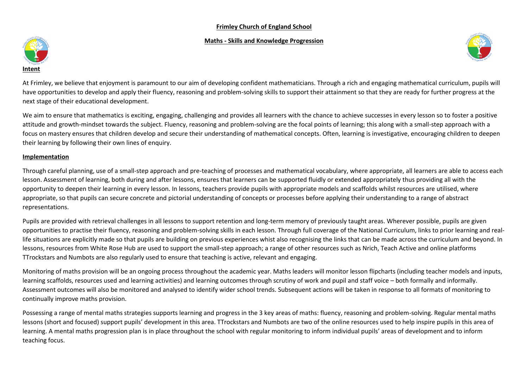## **Frimley Church of England School**

#### **Maths - Skills and Knowledge Progression**





At Frimley, we believe that enjoyment is paramount to our aim of developing confident mathematicians. Through a rich and engaging mathematical curriculum, pupils will have opportunities to develop and apply their fluency, reasoning and problem-solving skills to support their attainment so that they are ready for further progress at the next stage of their educational development.

We aim to ensure that mathematics is exciting, engaging, challenging and provides all learners with the chance to achieve successes in every lesson so to foster a positive attitude and growth-mindset towards the subject. Fluency, reasoning and problem-solving are the focal points of learning; this along with a small-step approach with a focus on mastery ensures that children develop and secure their understanding of mathematical concepts. Often, learning is investigative, encouraging children to deepen their learning by following their own lines of enquiry.

#### **Implementation**

Through careful planning, use of a small-step approach and pre-teaching of processes and mathematical vocabulary, where appropriate, all learners are able to access each lesson. Assessment of learning, both during and after lessons, ensures that learners can be supported fluidly or extended appropriately thus providing all with the opportunity to deepen their learning in every lesson. In lessons, teachers provide pupils with appropriate models and scaffolds whilst resources are utilised, where appropriate, so that pupils can secure concrete and pictorial understanding of concepts or processes before applying their understanding to a range of abstract representations.

Pupils are provided with retrieval challenges in all lessons to support retention and long-term memory of previously taught areas. Wherever possible, pupils are given opportunities to practise their fluency, reasoning and problem-solving skills in each lesson. Through full coverage of the National Curriculum, links to prior learning and reallife situations are explicitly made so that pupils are building on previous experiences whist also recognising the links that can be made across the curriculum and beyond. In lessons, resources from White Rose Hub are used to support the small-step approach; a range of other resources such as Nrich, Teach Active and online platforms TTrockstars and Numbots are also regularly used to ensure that teaching is active, relevant and engaging.

Monitoring of maths provision will be an ongoing process throughout the academic year. Maths leaders will monitor lesson flipcharts (including teacher models and inputs, learning scaffolds, resources used and learning activities) and learning outcomes through scrutiny of work and pupil and staff voice – both formally and informally. Assessment outcomes will also be monitored and analysed to identify wider school trends. Subsequent actions will be taken in response to all formats of monitoring to continually improve maths provision.

Possessing a range of mental maths strategies supports learning and progress in the 3 key areas of maths: fluency, reasoning and problem-solving. Regular mental maths lessons (short and focused) support pupils' development in this area. TTrockstars and Numbots are two of the online resources used to help inspire pupils in this area of learning. A mental maths progression plan is in place throughout the school with regular monitoring to inform individual pupils' areas of development and to inform teaching focus.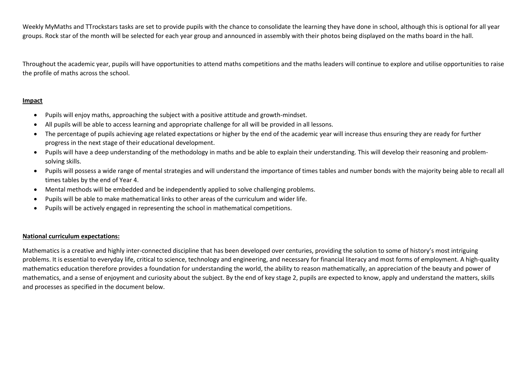Weekly MyMaths and TTrockstars tasks are set to provide pupils with the chance to consolidate the learning they have done in school, although this is optional for all year groups. Rock star of the month will be selected for each year group and announced in assembly with their photos being displayed on the maths board in the hall.

Throughout the academic year, pupils will have opportunities to attend maths competitions and the maths leaders will continue to explore and utilise opportunities to raise the profile of maths across the school.

## **Impact**

- Pupils will enjoy maths, approaching the subject with a positive attitude and growth-mindset.
- All pupils will be able to access learning and appropriate challenge for all will be provided in all lessons.
- The percentage of pupils achieving age related expectations or higher by the end of the academic year will increase thus ensuring they are ready for further progress in the next stage of their educational development.
- Pupils will have a deep understanding of the methodology in maths and be able to explain their understanding. This will develop their reasoning and problemsolving skills.
- Pupils will possess a wide range of mental strategies and will understand the importance of times tables and number bonds with the majority being able to recall all times tables by the end of Year 4.
- Mental methods will be embedded and be independently applied to solve challenging problems.
- Pupils will be able to make mathematical links to other areas of the curriculum and wider life.
- Pupils will be actively engaged in representing the school in mathematical competitions.

## **National curriculum expectations:**

Mathematics is a creative and highly inter-connected discipline that has been developed over centuries, providing the solution to some of history's most intriguing problems. It is essential to everyday life, critical to science, technology and engineering, and necessary for financial literacy and most forms of employment. A high-quality mathematics education therefore provides a foundation for understanding the world, the ability to reason mathematically, an appreciation of the beauty and power of mathematics, and a sense of enjoyment and curiosity about the subject. By the end of key stage 2, pupils are expected to know, apply and understand the matters, skills and processes as specified in the document below.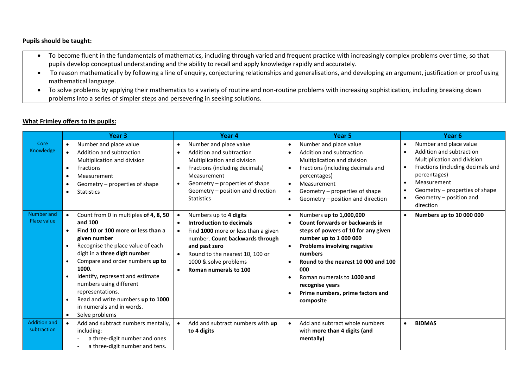## **Pupils should be taught:**

- To become fluent in the fundamentals of mathematics, including through varied and frequent practice with increasingly complex problems over time, so that pupils develop conceptual understanding and the ability to recall and apply knowledge rapidly and accurately.
- To reason mathematically by following a line of enquiry, conjecturing relationships and generalisations, and developing an argument, justification or proof using mathematical language.
- To solve problems by applying their mathematics to a variety of routine and non-routine problems with increasing sophistication, including breaking down problems into a series of simpler steps and persevering in seeking solutions.

# **What Frimley offers to its pupils:**

|                                    | Year <sub>3</sub>                                                                                                                                                                                                                                                                                                                                                                                                                                                                          | Year 4                                                                                                                                                                                                                                                                                              | Year 5                                                                                                                                                                                                                                                                                                                                                                   | Year <sub>6</sub>                                                                                                                                                                                                                                                                   |
|------------------------------------|--------------------------------------------------------------------------------------------------------------------------------------------------------------------------------------------------------------------------------------------------------------------------------------------------------------------------------------------------------------------------------------------------------------------------------------------------------------------------------------------|-----------------------------------------------------------------------------------------------------------------------------------------------------------------------------------------------------------------------------------------------------------------------------------------------------|--------------------------------------------------------------------------------------------------------------------------------------------------------------------------------------------------------------------------------------------------------------------------------------------------------------------------------------------------------------------------|-------------------------------------------------------------------------------------------------------------------------------------------------------------------------------------------------------------------------------------------------------------------------------------|
| Core<br>Knowledge                  | Number and place value<br>$\bullet$<br>Addition and subtraction<br>$\bullet$<br>Multiplication and division<br><b>Fractions</b><br>$\bullet$<br>Measurement<br>$\bullet$<br>Geometry – properties of shape<br>$\bullet$<br><b>Statistics</b><br>$\bullet$                                                                                                                                                                                                                                  | Number and place value<br>$\bullet$<br>Addition and subtraction<br>$\bullet$<br>Multiplication and division<br>Fractions (including decimals)<br>$\bullet$<br>Measurement<br>Geometry - properties of shape<br>$\bullet$<br>Geometry – position and direction<br><b>Statistics</b>                  | Number and place value<br>$\bullet$<br>Addition and subtraction<br>$\bullet$<br>Multiplication and division<br>Fractions (including decimals and<br>$\bullet$<br>percentages)<br>Measurement<br>$\bullet$<br>Geometry - properties of shape<br>$\bullet$<br>Geometry - position and direction<br>$\bullet$                                                               | Number and place value<br>$\bullet$<br>Addition and subtraction<br>$\bullet$<br>Multiplication and division<br>Fractions (including decimals and<br>$\bullet$<br>percentages)<br>Measurement<br>$\bullet$<br>Geometry – properties of shape<br>Geometry - position and<br>direction |
| Number and<br>Place value          | Count from 0 in multiples of 4, 8, 50<br>$\bullet$<br>and 100<br>Find 10 or 100 more or less than a<br>$\bullet$<br>given number<br>Recognise the place value of each<br>$\bullet$<br>digit in a three digit number<br>Compare and order numbers up to<br>$\bullet$<br>1000.<br>Identify, represent and estimate<br>$\bullet$<br>numbers using different<br>representations.<br>Read and write numbers up to 1000<br>$\bullet$<br>in numerals and in words.<br>Solve problems<br>$\bullet$ | Numbers up to 4 digits<br>$\bullet$<br>Introduction to decimals<br>$\bullet$<br>Find 1000 more or less than a given<br>$\bullet$<br>number. Count backwards through<br>and past zero<br>Round to the nearest 10, 100 or<br>$\bullet$<br>1000 & solve problems<br>Roman numerals to 100<br>$\bullet$ | Numbers up to 1,000,000<br>$\bullet$<br>Count forwards or backwards in<br>$\bullet$<br>steps of powers of 10 for any given<br>number up to 1 000 000<br>Problems involving negative<br>numbers<br>Round to the nearest 10 000 and 100<br>$\bullet$<br>000<br>Roman numerals to 1000 and<br>$\bullet$<br>recognise years<br>Prime numbers, prime factors and<br>composite | Numbers up to 10 000 000                                                                                                                                                                                                                                                            |
| <b>Addition and</b><br>subtraction | Add and subtract numbers mentally,<br>including:<br>a three-digit number and ones<br>a three-digit number and tens.                                                                                                                                                                                                                                                                                                                                                                        | Add and subtract numbers with up<br>$\bullet$<br>to 4 digits                                                                                                                                                                                                                                        | Add and subtract whole numbers<br>$\bullet$<br>with more than 4 digits (and<br>mentally)                                                                                                                                                                                                                                                                                 | <b>BIDMAS</b><br>$\bullet$                                                                                                                                                                                                                                                          |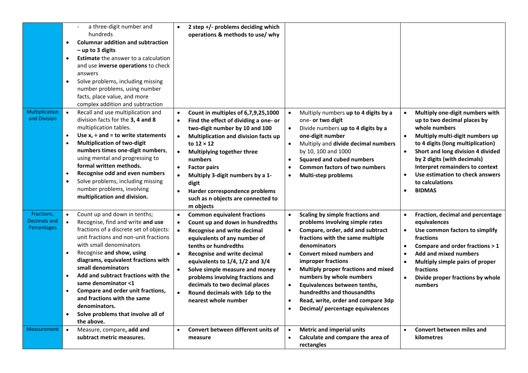| Multiplication                                   | a three-digit number and<br>hundreds<br><b>Columnar addition and subtraction</b><br>$\bullet$<br>$-$ up to 3 digits<br><b>Estimate</b> the answer to a calculation<br>$\bullet$<br>and use inverse operations to check<br>answers<br>Solve problems, including missing<br>$\bullet$<br>number problems, using number<br>facts, place value, and more<br>complex addition and subtraction<br>Recall and use multiplication and<br>$\bullet$                                                                  | 2 step +/- problems deciding which<br>$\bullet$<br>operations & methods to use/ why<br>Count in multiples of 6,7,9,25,1000<br>$\bullet$                                                                                                                                                                                                                                                                                                                                                      | Multiply numbers up to 4 digits by a                                                                                                                                                                                                                                                                                                                                                                                                                                                | Multiply one-digit numbers with<br>$\bullet$                                                                                                                                                                                                                                                                                 |
|--------------------------------------------------|-------------------------------------------------------------------------------------------------------------------------------------------------------------------------------------------------------------------------------------------------------------------------------------------------------------------------------------------------------------------------------------------------------------------------------------------------------------------------------------------------------------|----------------------------------------------------------------------------------------------------------------------------------------------------------------------------------------------------------------------------------------------------------------------------------------------------------------------------------------------------------------------------------------------------------------------------------------------------------------------------------------------|-------------------------------------------------------------------------------------------------------------------------------------------------------------------------------------------------------------------------------------------------------------------------------------------------------------------------------------------------------------------------------------------------------------------------------------------------------------------------------------|------------------------------------------------------------------------------------------------------------------------------------------------------------------------------------------------------------------------------------------------------------------------------------------------------------------------------|
| and Division                                     | division facts for the 3, 4 and 8<br>multiplication tables.<br>Use $x$ , $\div$ and = to write statements<br><b>Multiplication of two-digit</b><br>$\bullet$<br>numbers times one-digit numbers,<br>using mental and progressing to<br>formal written methods.<br>Recognise odd and even numbers<br>$\bullet$<br>$\bullet$<br>Solve problems, including missing<br>number problems, involving<br>multiplication and division.                                                                               | Find the effect of dividing a one- or<br>$\bullet$<br>two-digit number by 10 and 100<br>$\bullet$<br>Multiplication and division facts up<br>to $12 \times 12$<br>$\bullet$<br>Multiplying together three<br>numbers<br><b>Factor pairs</b><br>$\bullet$<br>Multiply 3-digit numbers by a 1-<br>$\bullet$<br>digit<br>$\bullet$<br>Harder correspondence problems<br>such as n objects are connected to<br>m objects                                                                         | one- or two digit<br>Divide numbers up to 4 digits by a<br>one-digit number<br>Multiply and divide decimal numbers<br>$\bullet$<br>by 10, 100 and 1000<br><b>Squared and cubed numbers</b><br>$\bullet$<br><b>Common factors of two numbers</b><br>$\bullet$<br><b>Multi-step problems</b><br>$\bullet$                                                                                                                                                                             | up to two decimal places by<br>whole numbers<br>Multiply multi-digit numbers up<br>to 4 digits (long multiplication)<br>Short and long division 4 divided<br>by 2 digits (with decimals)<br>Interpret remainders to context<br>Use estimation to check answers<br>$\bullet$<br>to calculations<br><b>BIDMAS</b><br>$\bullet$ |
| Fractions,<br>Decimals and<br><b>Percentages</b> | Count up and down in tenths;<br>Recognise, find and write and use<br>fractions of a discrete set of objects:<br>unit fractions and non-unit fractions<br>with small denominators<br>Recognise and show, using<br>$\bullet$<br>diagrams, equivalent fractions with<br>small denominators<br>Add and subtract fractions with the<br>same denominator <1<br>Compare and order unit fractions,<br>and fractions with the same<br>denominators.<br>Solve problems that involve all of<br>$\bullet$<br>the above. | <b>Common equivalent fractions</b><br>$\bullet$<br>Count up and down in hundredths<br>$\bullet$<br><b>Recognise and write decimal</b><br>$\bullet$<br>equivalents of any number of<br>tenths or hundredths<br>$\bullet$<br><b>Recognise and write decimal</b><br>equivalents to 1/4, 1/2 and 3/4<br>Solve simple measure and money<br>$\bullet$<br>problems involving fractions and<br>decimals to two decimal places<br>Round decimals with 1dp to the<br>$\bullet$<br>nearest whole number | Scaling by simple fractions and<br>problems involving simple rates<br>Compare, order, add and subtract<br>fractions with the same multiple<br>denominators<br><b>Convert mixed numbers and</b><br>$\bullet$<br>improper fractions<br>Multiply proper fractions and mixed<br>numbers by whole numbers<br>Equivalences between tenths,<br>$\bullet$<br>hundredths and thousandths<br>Read, write, order and compare 3dp<br>$\bullet$<br>Decimal/ percentage equivalences<br>$\bullet$ | Fraction, decimal and percentage<br>equivalences<br>Use common factors to simplify<br>$\bullet$<br>fractions<br>Compare and order fractions > 1<br>$\bullet$<br><b>Add and mixed numbers</b><br>Multiply simple pairs of proper<br>fractions<br>Divide proper fractions by whole<br>numbers                                  |
| <b>Measurement</b>                               | Measure, compare, add and<br>$\bullet$<br>subtract metric measures.                                                                                                                                                                                                                                                                                                                                                                                                                                         | Convert between different units of<br>$\bullet$<br>measure                                                                                                                                                                                                                                                                                                                                                                                                                                   | <b>Metric and imperial units</b><br>$\bullet$<br>Calculate and compare the area of<br>rectangles                                                                                                                                                                                                                                                                                                                                                                                    | Convert between miles and<br>$\bullet$<br>kilometres                                                                                                                                                                                                                                                                         |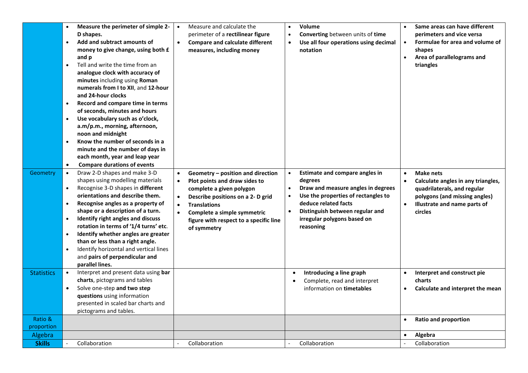|                       | Measure the perimeter of simple 2-<br>D shapes.<br>Add and subtract amounts of<br>$\bullet$<br>money to give change, using both £<br>and p<br>Tell and write the time from an<br>$\bullet$<br>analogue clock with accuracy of<br>minutes including using Roman<br>numerals from I to XII, and 12-hour<br>and 24-hour clocks<br>Record and compare time in terms<br>$\bullet$<br>of seconds, minutes and hours<br>Use vocabulary such as o'clock,<br>$\bullet$<br>a.m/p.m., morning, afternoon,<br>noon and midnight<br>Know the number of seconds in a<br>$\bullet$<br>minute and the number of days in<br>each month, year and leap year<br>$\bullet$<br><b>Compare durations of events</b> | Measure and calculate the<br>$\bullet$<br>perimeter of a rectilinear figure<br>$\bullet$<br><b>Compare and calculate different</b><br>measures, including money                                                                                                                                                     | Volume<br>Converting between units of time<br>Use all four operations using decimal<br>notation                                                                                                                                                         | Same areas can have different<br>perimeters and vice versa<br>Formulae for area and volume of<br>shapes<br>Area of parallelograms and<br>triangles                      |
|-----------------------|----------------------------------------------------------------------------------------------------------------------------------------------------------------------------------------------------------------------------------------------------------------------------------------------------------------------------------------------------------------------------------------------------------------------------------------------------------------------------------------------------------------------------------------------------------------------------------------------------------------------------------------------------------------------------------------------|---------------------------------------------------------------------------------------------------------------------------------------------------------------------------------------------------------------------------------------------------------------------------------------------------------------------|---------------------------------------------------------------------------------------------------------------------------------------------------------------------------------------------------------------------------------------------------------|-------------------------------------------------------------------------------------------------------------------------------------------------------------------------|
| Geometry              | Draw 2-D shapes and make 3-D<br>$\bullet$<br>shapes using modelling materials<br>Recognise 3-D shapes in different<br>$\bullet$<br>orientations and describe them.<br>Recognise angles as a property of<br>$\bullet$<br>shape or a description of a turn.<br>Identify right angles and discuss<br>$\bullet$<br>rotation in terms of '1/4 turns' etc.<br>Identify whether angles are greater<br>$\bullet$<br>than or less than a right angle.<br>Identify horizontal and vertical lines<br>$\bullet$<br>and pairs of perpendicular and<br>parallel lines.                                                                                                                                     | Geometry - position and direction<br>$\bullet$<br>Plot points and draw sides to<br>$\bullet$<br>complete a given polygon<br>Describe positions on a 2- D grid<br>$\bullet$<br><b>Translations</b><br>$\bullet$<br>$\bullet$<br>Complete a simple symmetric<br>figure with respect to a specific line<br>of symmetry | Estimate and compare angles in<br>$\bullet$<br>degrees<br>Draw and measure angles in degrees<br>Use the properties of rectangles to<br>deduce related facts<br>Distinguish between regular and<br>$\bullet$<br>irregular polygons based on<br>reasoning | Make nets<br>$\bullet$<br>Calculate angles in any triangles,<br>quadrilaterals, and regular<br>polygons (and missing angles)<br>Illustrate and name parts of<br>circles |
| <b>Statistics</b>     | Interpret and present data using bar<br>$\bullet$<br>charts, pictograms and tables<br>Solve one-step and two step<br>$\bullet$<br>questions using information<br>presented in scaled bar charts and<br>pictograms and tables.                                                                                                                                                                                                                                                                                                                                                                                                                                                                |                                                                                                                                                                                                                                                                                                                     | Introducing a line graph<br>Complete, read and interpret<br>information on timetables                                                                                                                                                                   | Interpret and construct pie<br>$\bullet$<br>charts<br>Calculate and interpret the mean<br>$\bullet$                                                                     |
| Ratio &<br>proportion |                                                                                                                                                                                                                                                                                                                                                                                                                                                                                                                                                                                                                                                                                              |                                                                                                                                                                                                                                                                                                                     |                                                                                                                                                                                                                                                         | <b>Ratio and proportion</b><br>$\bullet$                                                                                                                                |
| Algebra               |                                                                                                                                                                                                                                                                                                                                                                                                                                                                                                                                                                                                                                                                                              |                                                                                                                                                                                                                                                                                                                     |                                                                                                                                                                                                                                                         | Algebra                                                                                                                                                                 |
| <b>Skills</b>         | Collaboration                                                                                                                                                                                                                                                                                                                                                                                                                                                                                                                                                                                                                                                                                | Collaboration                                                                                                                                                                                                                                                                                                       | Collaboration                                                                                                                                                                                                                                           | Collaboration                                                                                                                                                           |